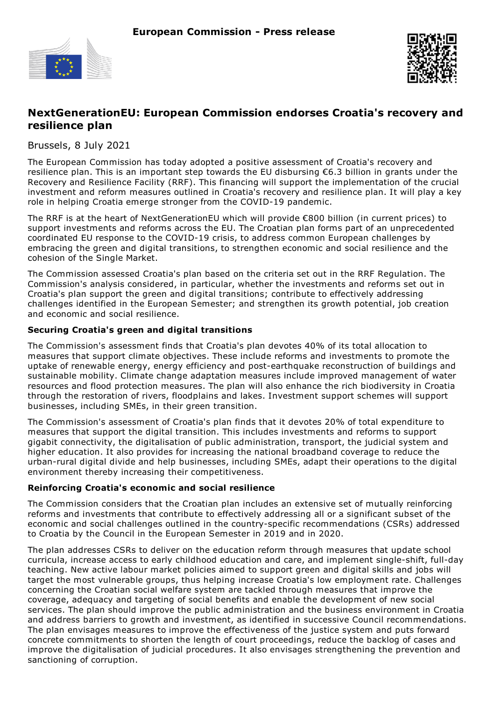



# **NextGenerationEU: European Commission endorses Croatia's recovery and resilience plan**

Brussels, 8 July 2021

The European Commission has today adopted a positive assessment of Croatia's recovery and resilience plan. This is an important step towards the EU disbursing €6.3 billion in grants under the Recovery and Resilience Facility (RRF). This financing will support the implementation of the crucial investment and reform measures outlined in Croatia's recovery and resilience plan. It will play a key role in helping Croatia emerge stronger from the COVID-19 pandemic.

The RRF is at the heart of NextGenerationEU which will provide €800 billion (in current prices) to support investments and reforms across the EU. The Croatian plan forms part of an unprecedented coordinated EU response to the COVID-19 crisis, to address common European challenges by embracing the green and digital transitions, to strengthen economic and social resilience and the cohesion of the Single Market.

The Commission assessed Croatia's plan based on the criteria set out in the RRF Regulation. The Commission's analysis considered, in particular, whether the investments and reforms set out in Croatia's plan support the green and digital transitions; contribute to effectively addressing challenges identified in the European Semester; and strengthen its growth potential, job creation and economic and social resilience.

### **Securing Croatia's green and digital transitions**

The Commission's assessment finds that Croatia's plan devotes 40% of its total allocation to measures that support climate objectives. These include reforms and investments to promote the uptake of renewable energy, energy efficiency and post-earthquake reconstruction of buildings and sustainable mobility. Climate change adaptation measures include improved management of water resources and flood protection measures. The plan will also enhance the rich biodiversity in Croatia through the restoration of rivers, floodplains and lakes. Investment support schemes will support businesses, including SMEs, in their green transition.

The Commission's assessment of Croatia's plan finds that it devotes 20% of total expenditure to measures that support the digital transition. This includes investments and reforms to support gigabit connectivity, the digitalisation of public administration, transport, the judicial system and higher education. It also provides for increasing the national broadband coverage to reduce the urban-rural digital divide and help businesses, including SMEs, adapt their operations to the digital environment thereby increasing their competitiveness.

### **Reinforcing Croatia's economic and social resilience**

The Commission considers that the Croatian plan includes an extensive set of mutually reinforcing reforms and investments that contribute to effectively addressing all or a significant subset of the economic and social challenges outlined in the country-specific recommendations (CSRs) addressed to Croatia by the Council in the European Semester in 2019 and in 2020.

The plan addresses CSRs to deliver on the education reform through measures that update school curricula, increase access to early childhood education and care, and implement single-shift, full-day teaching. New active labour market policies aimed to support green and digital skills and jobs will target the most vulnerable groups, thus helping increase Croatia's low employment rate. Challenges concerning the Croatian social welfare system are tackled through measures that improve the coverage, adequacy and targeting of social benefits and enable the development of new social services. The plan should improve the public administration and the business environment in Croatia and address barriers to growth and investment, as identified in successive Council recommendations. The plan envisages measures to improve the effectiveness of the justice system and puts forward concrete commitments to shorten the length of court proceedings, reduce the backlog of cases and improve the digitalisation of judicial procedures. It also envisages strengthening the prevention and sanctioning of corruption.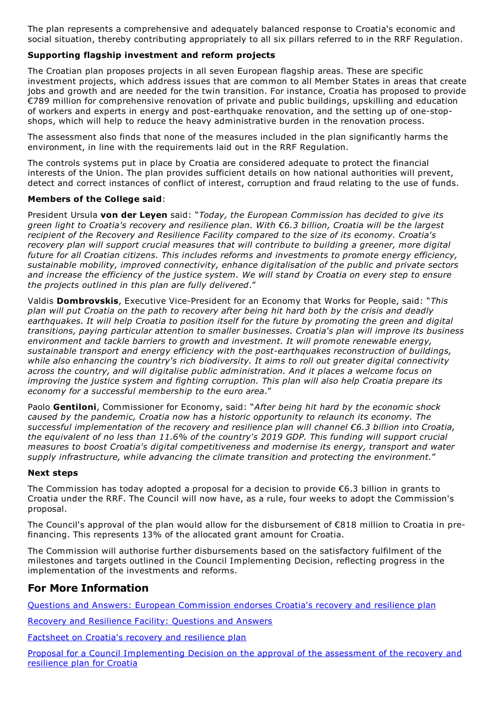The plan represents a comprehensive and adequately balanced response to Croatia's economic and social situation, thereby contributing appropriately to all six pillars referred to in the RRF Regulation.

### **Supporting flagship investment and reform projects**

The Croatian plan proposes projects in all seven European flagship areas. These are specific investment projects, which address issues that are common to all Member States in areas that create jobs and growth and are needed for the twin transition. For instance, Croatia has proposed to provide €789 million for comprehensive renovation of private and public buildings, upskilling and education of workers and experts in energy and post-earthquake renovation, and the setting up of one-stopshops, which will help to reduce the heavy administrative burden in the renovation process.

The assessment also finds that none of the measures included in the plan significantly harms the environment, in line with the requirements laid out in the RRF Regulation.

The controls systems put in place by Croatia are considered adequate to protect the financial interests of the Union. The plan provides sufficient details on how national authorities will prevent, detect and correct instances of conflict of interest, corruption and fraud relating to the use of funds.

#### **Members of the College said**:

President Ursula **von der Leyen** said: "*Today, the European Commission has decided to give its green light to Croatia's recovery and resilience plan. With €6.3 billion, Croatia will be the largest recipient of the Recovery and Resilience Facility compared to the size of its economy. Croatia's recovery plan will support crucial measures that will contribute to building a greener, more digital future for all Croatian citizens. This includes reforms and investments to promote energy efficiency, sustainable mobility, improved connectivity, enhance digitalisation of the public and private sectors* and increase the efficiency of the justice system. We will stand by Croatia on every step to ensure *the projects outlined in this plan are fully delivered*."

Valdis **Dombrovskis**, Executive Vice-President for an Economy that Works for People, said: "*This* plan will put Croatia on the path to recovery after being hit hard both by the crisis and deadly *earthquakes. It will help Croatia to position itself for the future by promoting the green and digital transitions, paying particular attention to smaller businesses. Croatia's plan will improve its business environment and tackle barriers to growth and investment. It will promote renewable energy, sustainable transport and energy efficiency with the post-earthquakes reconstruction of buildings, while also enhancing the country's rich biodiversity. It aims to roll out greater digital connectivity across the country, and will digitalise public administration. And it places a welcome focus on improving the justice system and fighting corruption. This plan will also help Croatia prepare its economy for a successful membership to the euro area*."

Paolo **Gentiloni**, Commissioner for Economy, said: "*After being hit hard by the economic shock caused by the pandemic, Croatia now has a historic opportunity to relaunch its economy. The successful implementation of the recovery and resilience plan will channel €6.3 billion into Croatia, the equivalent of no less than 11.6% of the country's 2019 GDP. This funding will support crucial measures to boost Croatia's digital competitiveness and modernise its energy, transport and water supply infrastructure, while advancing the climate transition and protecting the environment.*"

#### **Next steps**

The Commission has today adopted a proposal for a decision to provide €6.3 billion in grants to Croatia under the RRF. The Council will now have, as a rule, four weeks to adopt the Commission's proposal.

The Council's approval of the plan would allow for the disbursement of  $\epsilon$ 818 million to Croatia in prefinancing. This represents 13% of the allocated grant amount for Croatia.

The Commission will authorise further disbursements based on the satisfactory fulfilment of the milestones and targets outlined in the Council Implementing Decision, reflecting progress in the implementation of the investments and reforms.

## **For More Information**

Questions and Answers: European [Commission](https://ec.europa.eu/commission/presscorner/detail/en/qanda_21_3488) endorses Croatia's recovery and resilience plan

Recovery and [Resilience](https://ec.europa.eu/commission/presscorner/detail/en/qanda_21_3014) Facility: Questions and Answers

[Factsheet](https://ec.europa.eu/info/files/factsheet-croatias-recovery-and-resilience-plan_en) on Croatia's recovery and resilience plan

Proposal for a Council [Implementing](https://ec.europa.eu/info/files/proposal-council-implementing-decision-approval-assessment-recovery-and-resilience-plan-croatia_en) Decision on the approval of the assessment of the recovery and resilience plan for Croatia